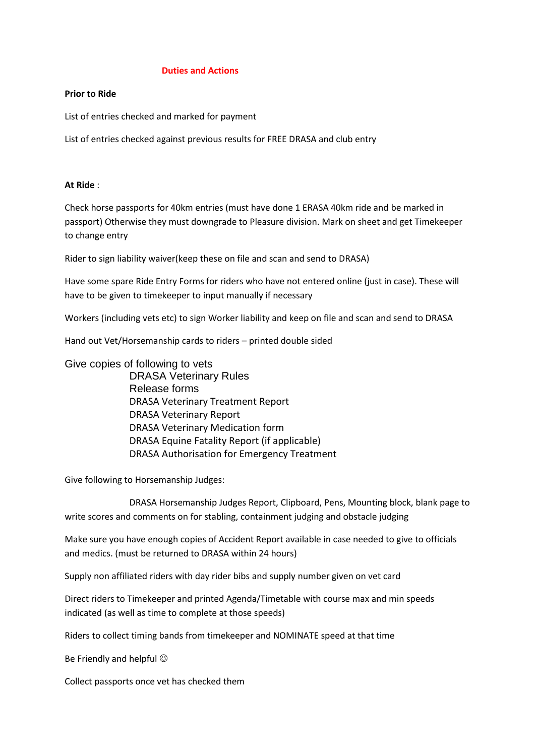### **Duties and Actions**

### **Prior to Ride**

List of entries checked and marked for payment

List of entries checked against previous results for FREE DRASA and club entry

## **At Ride** :

Check horse passports for 40km entries (must have done 1 ERASA 40km ride and be marked in passport) Otherwise they must downgrade to Pleasure division. Mark on sheet and get Timekeeper to change entry

Rider to sign liability waiver(keep these on file and scan and send to DRASA)

Have some spare Ride Entry Forms for riders who have not entered online (just in case). These will have to be given to timekeeper to input manually if necessary

Workers (including vets etc) to sign Worker liability and keep on file and scan and send to DRASA

Hand out Vet/Horsemanship cards to riders – printed double sided

# Give copies of following to vets

DRASA Veterinary Rules Release forms DRASA Veterinary Treatment Report DRASA Veterinary Report DRASA Veterinary Medication form DRASA Equine Fatality Report (if applicable) DRASA Authorisation for Emergency Treatment

Give following to Horsemanship Judges:

DRASA Horsemanship Judges Report, Clipboard, Pens, Mounting block, blank page to write scores and comments on for stabling, containment judging and obstacle judging

Make sure you have enough copies of Accident Report available in case needed to give to officials and medics. (must be returned to DRASA within 24 hours)

Supply non affiliated riders with day rider bibs and supply number given on vet card

Direct riders to Timekeeper and printed Agenda/Timetable with course max and min speeds indicated (as well as time to complete at those speeds)

Riders to collect timing bands from timekeeper and NOMINATE speed at that time

Be Friendly and helpful

Collect passports once vet has checked them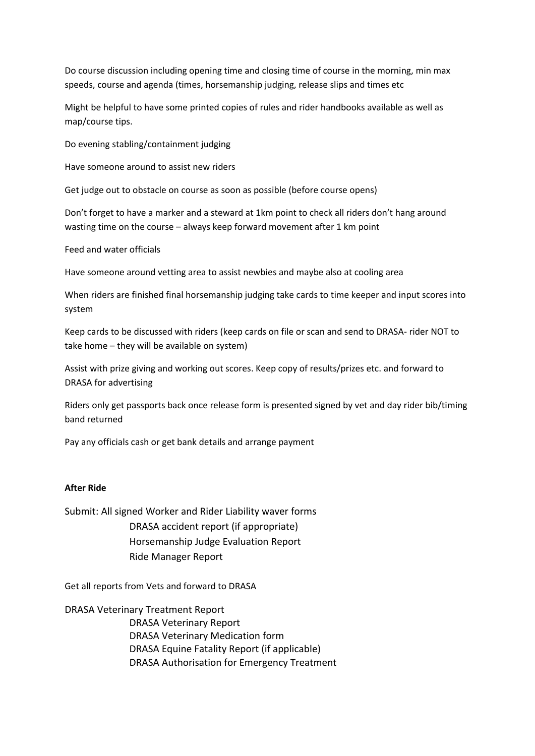Do course discussion including opening time and closing time of course in the morning, min max speeds, course and agenda (times, horsemanship judging, release slips and times etc

Might be helpful to have some printed copies of rules and rider handbooks available as well as map/course tips.

Do evening stabling/containment judging

Have someone around to assist new riders

Get judge out to obstacle on course as soon as possible (before course opens)

Don't forget to have a marker and a steward at 1km point to check all riders don't hang around wasting time on the course – always keep forward movement after 1 km point

Feed and water officials

Have someone around vetting area to assist newbies and maybe also at cooling area

When riders are finished final horsemanship judging take cards to time keeper and input scores into system

Keep cards to be discussed with riders (keep cards on file or scan and send to DRASA- rider NOT to take home – they will be available on system)

Assist with prize giving and working out scores. Keep copy of results/prizes etc. and forward to DRASA for advertising

Riders only get passports back once release form is presented signed by vet and day rider bib/timing band returned

Pay any officials cash or get bank details and arrange payment

## **After Ride**

Submit: All signed Worker and Rider Liability waver forms DRASA accident report (if appropriate) Horsemanship Judge Evaluation Report Ride Manager Report

Get all reports from Vets and forward to DRASA

DRASA Veterinary Treatment Report DRASA Veterinary Report DRASA Veterinary Medication form DRASA Equine Fatality Report (if applicable) DRASA Authorisation for Emergency Treatment